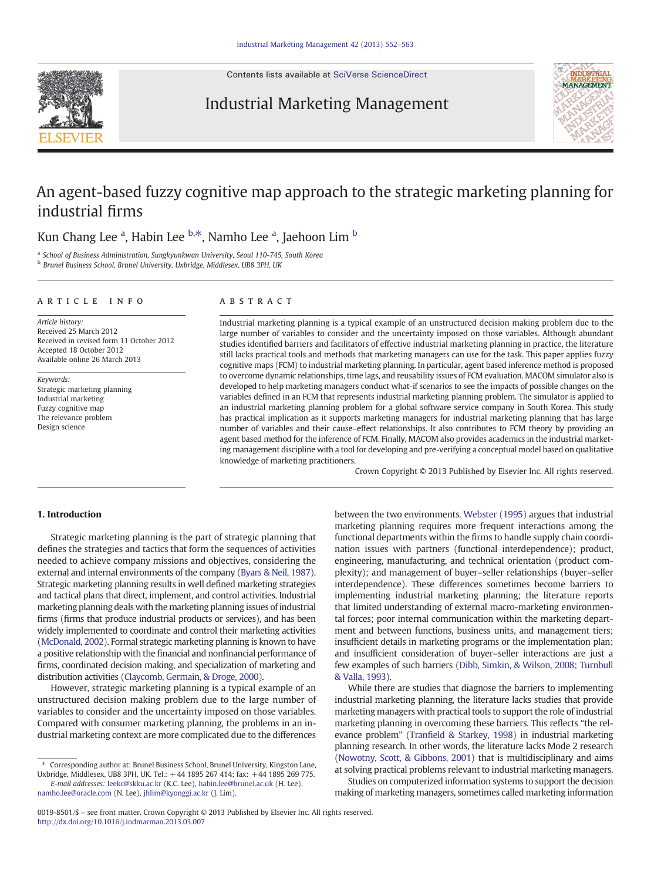Contents lists available at [SciVerse ScienceDirect](http://www.sciencedirect.com/science/journal/00198501)





## An agent-based fuzzy cognitive map approach to the strategic marketing planning for industrial firms

Kun Chang Lee <sup>a</sup>, Habin Lee <sup>b,\*</sup>, Namho Lee <sup>a</sup>, Jaehoon Lim <sup>b</sup>

<sup>a</sup> School of Business Administration, Sungkyunkwan University, Seoul 110-745, South Korea

<sup>b</sup> Brunel Business School, Brunel University, Uxbridge, Middlesex, UB8 3PH, UK

### ARTICLE INFO ABSTRACT

Article history: Received 25 March 2012 Received in revised form 11 October 2012 Accepted 18 October 2012 Available online 26 March 2013

Keywords: Strategic marketing planning Industrial marketing Fuzzy cognitive map The relevance problem Design science

Industrial marketing planning is a typical example of an unstructured decision making problem due to the large number of variables to consider and the uncertainty imposed on those variables. Although abundant studies identified barriers and facilitators of effective industrial marketing planning in practice, the literature still lacks practical tools and methods that marketing managers can use for the task. This paper applies fuzzy cognitive maps (FCM) to industrial marketing planning. In particular, agent based inference method is proposed to overcome dynamic relationships, time lags, and reusability issues of FCM evaluation. MACOM simulator also is developed to help marketing managers conduct what-if scenarios to see the impacts of possible changes on the variables defined in an FCM that represents industrial marketing planning problem. The simulator is applied to an industrial marketing planning problem for a global software service company in South Korea. This study has practical implication as it supports marketing managers for industrial marketing planning that has large number of variables and their cause–effect relationships. It also contributes to FCM theory by providing an agent based method for the inference of FCM. Finally, MACOM also provides academics in the industrial marketing management discipline with a tool for developing and pre-verifying a conceptual model based on qualitative knowledge of marketing practitioners.

Crown Copyright © 2013 Published by Elsevier Inc. All rights reserved.

### 1. Introduction

Strategic marketing planning is the part of strategic planning that defines the strategies and tactics that form the sequences of activities needed to achieve company missions and objectives, considering the external and internal environments of the company [\(Byars & Neil, 1987\)](#page--1-0). Strategic marketing planning results in well defined marketing strategies and tactical plans that direct, implement, and control activities. Industrial marketing planning deals with the marketing planning issues of industrial firms (firms that produce industrial products or services), and has been widely implemented to coordinate and control their marketing activities [\(McDonald, 2002](#page--1-0)). Formal strategic marketing planning is known to have a positive relationship with the financial and nonfinancial performance of firms, coordinated decision making, and specialization of marketing and distribution activities [\(Claycomb, Germain, & Droge, 2000\)](#page--1-0).

However, strategic marketing planning is a typical example of an unstructured decision making problem due to the large number of variables to consider and the uncertainty imposed on those variables. Compared with consumer marketing planning, the problems in an industrial marketing context are more complicated due to the differences

⁎ Corresponding author at: Brunel Business School, Brunel University, Kingston Lane, Uxbridge, Middlesex, UB8 3PH, UK. Tel.: +44 1895 267 414; fax: +44 1895 269 775.

E-mail addresses: [leekc@skku.ac.kr](mailto:leekc@skku.ac.kr) (K.C. Lee), [habin.lee@brunel.ac.uk](mailto:habin.lee@brunel.ac.uk) (H. Lee), [namho.lee@oracle.com](mailto:namho.lee@oracle.com) (N. Lee), [jhlim@kyonggi.ac.kr](mailto:jhlim@kyonggi.ac.kr) (J. Lim).

between the two environments. [Webster \(1995\)](#page--1-0) argues that industrial marketing planning requires more frequent interactions among the functional departments within the firms to handle supply chain coordination issues with partners (functional interdependence); product, engineering, manufacturing, and technical orientation (product complexity); and management of buyer–seller relationships (buyer–seller interdependence). These differences sometimes become barriers to implementing industrial marketing planning; the literature reports that limited understanding of external macro-marketing environmental forces; poor internal communication within the marketing department and between functions, business units, and management tiers; insufficient details in marketing programs or the implementation plan; and insufficient consideration of buyer–seller interactions are just a few examples of such barriers [\(Dibb, Simkin, & Wilson, 2008; Turnbull](#page--1-0) [& Valla, 1993\)](#page--1-0).

While there are studies that diagnose the barriers to implementing industrial marketing planning, the literature lacks studies that provide marketing managers with practical tools to support the role of industrial marketing planning in overcoming these barriers. This reflects "the relevance problem" (Tranfi[eld & Starkey, 1998](#page--1-0)) in industrial marketing planning research. In other words, the literature lacks Mode 2 research [\(Nowotny, Scott, & Gibbons, 2001\)](#page--1-0) that is multidisciplinary and aims at solving practical problems relevant to industrial marketing managers.

Studies on computerized information systems to support the decision making of marketing managers, sometimes called marketing information

<sup>0019-8501/\$</sup> – see front matter. Crown Copyright © 2013 Published by Elsevier Inc. All rights reserved. <http://dx.doi.org/10.1016/j.indmarman.2013.03.007>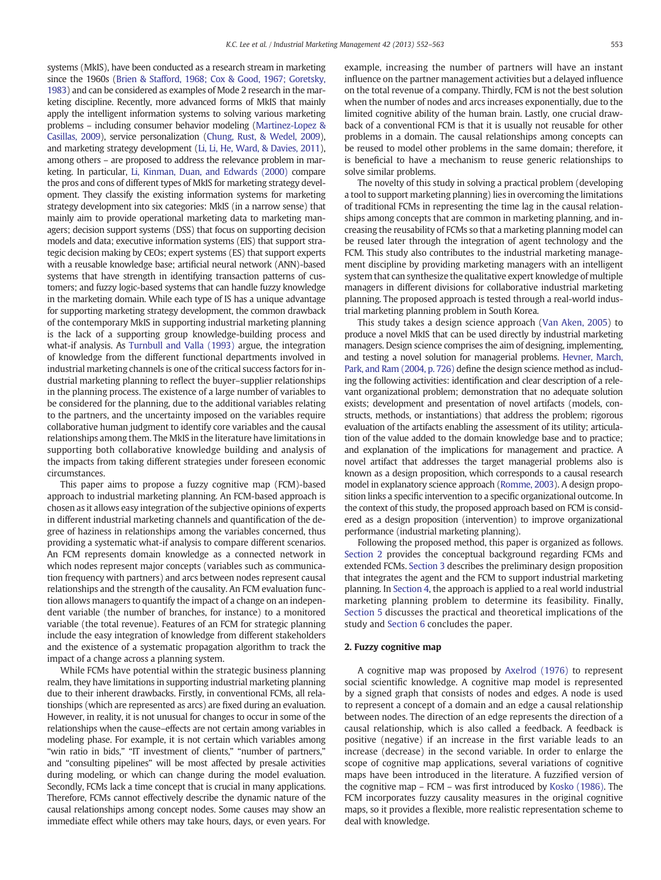systems (MkIS), have been conducted as a research stream in marketing since the 1960s [\(Brien & Stafford, 1968; Cox & Good, 1967; Goretsky,](#page--1-0) [1983](#page--1-0)) and can be considered as examples of Mode 2 research in the marketing discipline. Recently, more advanced forms of MkIS that mainly apply the intelligent information systems to solving various marketing problems – including consumer behavior modeling ([Martinez-Lopez &](#page--1-0) [Casillas, 2009](#page--1-0)), service personalization [\(Chung, Rust, & Wedel, 2009](#page--1-0)), and marketing strategy development ([Li, Li, He, Ward, & Davies, 2011](#page--1-0)), among others – are proposed to address the relevance problem in marketing. In particular, [Li, Kinman, Duan, and Edwards \(2000\)](#page--1-0) compare the pros and cons of different types of MkIS for marketing strategy development. They classify the existing information systems for marketing strategy development into six categories: MkIS (in a narrow sense) that mainly aim to provide operational marketing data to marketing managers; decision support systems (DSS) that focus on supporting decision models and data; executive information systems (EIS) that support strategic decision making by CEOs; expert systems (ES) that support experts with a reusable knowledge base; artificial neural network (ANN)-based systems that have strength in identifying transaction patterns of customers; and fuzzy logic-based systems that can handle fuzzy knowledge in the marketing domain. While each type of IS has a unique advantage for supporting marketing strategy development, the common drawback of the contemporary MkIS in supporting industrial marketing planning is the lack of a supporting group knowledge-building process and what-if analysis. As [Turnbull and Valla \(1993\)](#page--1-0) argue, the integration of knowledge from the different functional departments involved in industrial marketing channels is one of the critical success factors for industrial marketing planning to reflect the buyer–supplier relationships in the planning process. The existence of a large number of variables to be considered for the planning, due to the additional variables relating to the partners, and the uncertainty imposed on the variables require collaborative human judgment to identify core variables and the causal relationships among them. The MkIS in the literature have limitations in supporting both collaborative knowledge building and analysis of the impacts from taking different strategies under foreseen economic circumstances.

This paper aims to propose a fuzzy cognitive map (FCM)-based approach to industrial marketing planning. An FCM-based approach is chosen as it allows easy integration of the subjective opinions of experts in different industrial marketing channels and quantification of the degree of haziness in relationships among the variables concerned, thus providing a systematic what-if analysis to compare different scenarios. An FCM represents domain knowledge as a connected network in which nodes represent major concepts (variables such as communication frequency with partners) and arcs between nodes represent causal relationships and the strength of the causality. An FCM evaluation function allows managers to quantify the impact of a change on an independent variable (the number of branches, for instance) to a monitored variable (the total revenue). Features of an FCM for strategic planning include the easy integration of knowledge from different stakeholders and the existence of a systematic propagation algorithm to track the impact of a change across a planning system.

While FCMs have potential within the strategic business planning realm, they have limitations in supporting industrial marketing planning due to their inherent drawbacks. Firstly, in conventional FCMs, all relationships (which are represented as arcs) are fixed during an evaluation. However, in reality, it is not unusual for changes to occur in some of the relationships when the cause–effects are not certain among variables in modeling phase. For example, it is not certain which variables among "win ratio in bids," "IT investment of clients," "number of partners," and "consulting pipelines" will be most affected by presale activities during modeling, or which can change during the model evaluation. Secondly, FCMs lack a time concept that is crucial in many applications. Therefore, FCMs cannot effectively describe the dynamic nature of the causal relationships among concept nodes. Some causes may show an immediate effect while others may take hours, days, or even years. For example, increasing the number of partners will have an instant influence on the partner management activities but a delayed influence on the total revenue of a company. Thirdly, FCM is not the best solution when the number of nodes and arcs increases exponentially, due to the limited cognitive ability of the human brain. Lastly, one crucial drawback of a conventional FCM is that it is usually not reusable for other problems in a domain. The causal relationships among concepts can be reused to model other problems in the same domain; therefore, it is beneficial to have a mechanism to reuse generic relationships to solve similar problems.

The novelty of this study in solving a practical problem (developing a tool to support marketing planning) lies in overcoming the limitations of traditional FCMs in representing the time lag in the causal relationships among concepts that are common in marketing planning, and increasing the reusability of FCMs so that a marketing planning model can be reused later through the integration of agent technology and the FCM. This study also contributes to the industrial marketing management discipline by providing marketing managers with an intelligent system that can synthesize the qualitative expert knowledge of multiple managers in different divisions for collaborative industrial marketing planning. The proposed approach is tested through a real-world industrial marketing planning problem in South Korea.

This study takes a design science approach [\(Van Aken, 2005\)](#page--1-0) to produce a novel MkIS that can be used directly by industrial marketing managers. Design science comprises the aim of designing, implementing, and testing a novel solution for managerial problems. [Hevner, March,](#page--1-0) [Park, and Ram \(2004, p. 726\)](#page--1-0) define the design science method as including the following activities: identification and clear description of a relevant organizational problem; demonstration that no adequate solution exists; development and presentation of novel artifacts (models, constructs, methods, or instantiations) that address the problem; rigorous evaluation of the artifacts enabling the assessment of its utility; articulation of the value added to the domain knowledge base and to practice; and explanation of the implications for management and practice. A novel artifact that addresses the target managerial problems also is known as a design proposition, which corresponds to a causal research model in explanatory science approach [\(Romme, 2003](#page--1-0)). A design proposition links a specific intervention to a specific organizational outcome. In the context of this study, the proposed approach based on FCM is considered as a design proposition (intervention) to improve organizational performance (industrial marketing planning).

Following the proposed method, this paper is organized as follows. Section 2 provides the conceptual background regarding FCMs and extended FCMs. [Section 3](#page--1-0) describes the preliminary design proposition that integrates the agent and the FCM to support industrial marketing planning. In [Section 4,](#page--1-0) the approach is applied to a real world industrial marketing planning problem to determine its feasibility. Finally, [Section 5](#page--1-0) discusses the practical and theoretical implications of the study and [Section 6](#page--1-0) concludes the paper.

### 2. Fuzzy cognitive map

A cognitive map was proposed by [Axelrod \(1976\)](#page--1-0) to represent social scientific knowledge. A cognitive map model is represented by a signed graph that consists of nodes and edges. A node is used to represent a concept of a domain and an edge a causal relationship between nodes. The direction of an edge represents the direction of a causal relationship, which is also called a feedback. A feedback is positive (negative) if an increase in the first variable leads to an increase (decrease) in the second variable. In order to enlarge the scope of cognitive map applications, several variations of cognitive maps have been introduced in the literature. A fuzzified version of the cognitive map – FCM – was first introduced by [Kosko \(1986\)](#page--1-0). The FCM incorporates fuzzy causality measures in the original cognitive maps, so it provides a flexible, more realistic representation scheme to deal with knowledge.